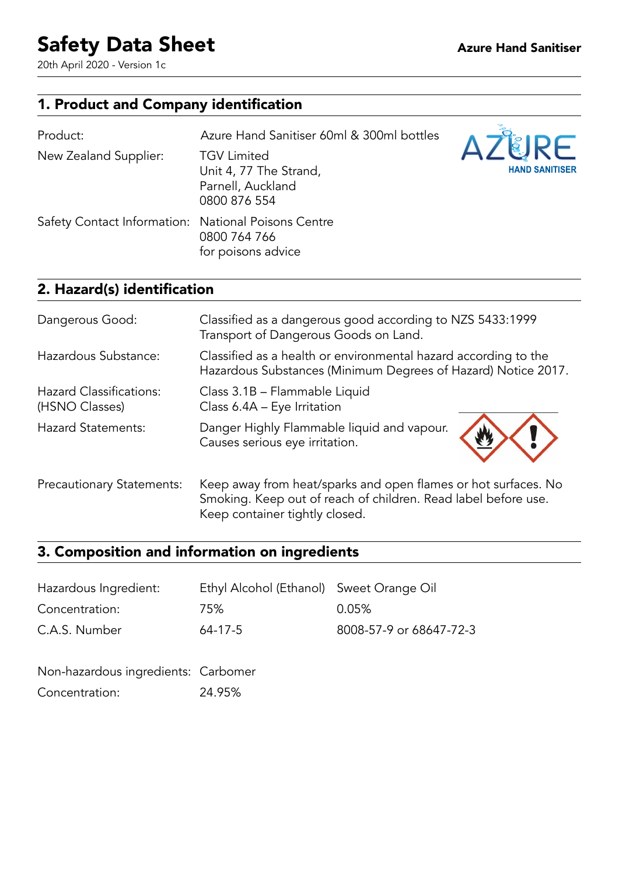20th April 2020 - Version 1c

## 1. Product and Company identification

| Product:                                            | Azure Hand Sanitiser 60ml & 300ml bottles                                         | <b>AZLIRE</b>         |
|-----------------------------------------------------|-----------------------------------------------------------------------------------|-----------------------|
| New Zealand Supplier:                               | <b>TGV Limited</b><br>Unit 4, 77 The Strand,<br>Parnell, Auckland<br>0800 876 554 | <b>HAND SANITISER</b> |
| Safety Contact Information: National Poisons Centre | 0800 764 766<br>for poisons advice                                                |                       |

## 2. Hazard(s) identification

 $\overline{a}$ 

| Dangerous Good:                                  | Classified as a dangerous good according to NZS 5433:1999<br>Transport of Dangerous Goods on Land.                                                                 |
|--------------------------------------------------|--------------------------------------------------------------------------------------------------------------------------------------------------------------------|
| Hazardous Substance:                             | Classified as a health or environmental hazard according to the<br>Hazardous Substances (Minimum Degrees of Hazard) Notice 2017.                                   |
| <b>Hazard Classifications:</b><br>(HSNO Classes) | Class 3.1B - Flammable Liquid<br>Class 6.4A - Eye Irritation                                                                                                       |
| <b>Hazard Statements:</b>                        | Danger Highly Flammable liquid and vapour.<br>Causes serious eye irritation.                                                                                       |
| <b>Precautionary Statements:</b>                 | Keep away from heat/sparks and open flames or hot surfaces. No<br>Smoking. Keep out of reach of children. Read label before use.<br>Keep container tightly closed. |

## 3. Composition and information on ingredients

| Hazardous Ingredient: | Ethyl Alcohol (Ethanol) Sweet Orange Oil |                         |
|-----------------------|------------------------------------------|-------------------------|
| Concentration:        | 75%                                      | 0.05%                   |
| C.A.S. Number         | 64-17-5                                  | 8008-57-9 or 68647-72-3 |

| Non-hazardous ingredients: Carbomer |        |
|-------------------------------------|--------|
| Concentration:                      | 24.95% |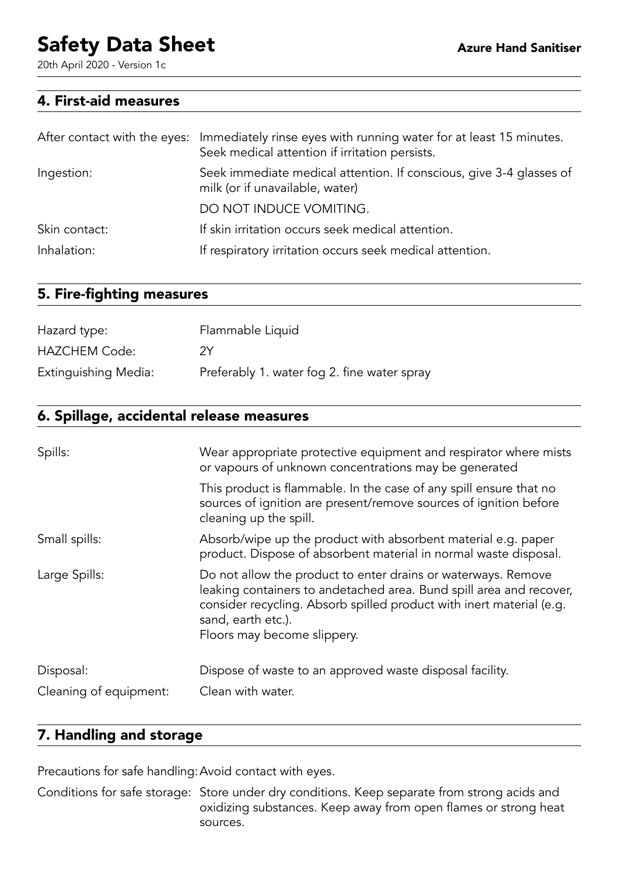20th April 2020 - Version 1c

#### 4. First-aid measures

|               | After contact with the eyes: Immediately rinse eyes with running water for at least 15 minutes.<br>Seek medical attention if irritation persists. |
|---------------|---------------------------------------------------------------------------------------------------------------------------------------------------|
| Ingestion:    | Seek immediate medical attention. If conscious, give 3-4 glasses of<br>milk (or if unavailable, water)                                            |
|               | DO NOT INDUCE VOMITING.                                                                                                                           |
| Skin contact: | If skin irritation occurs seek medical attention.                                                                                                 |
| Inhalation:   | If respiratory irritation occurs seek medical attention.                                                                                          |

#### 5. Fire-fighting measures

| Hazard type:         | Flammable Liquid                            |
|----------------------|---------------------------------------------|
| <b>HAZCHEM Code:</b> | 2Y                                          |
| Extinguishing Media: | Preferably 1. water fog 2. fine water spray |

### 6. Spillage, accidental release measures

| Spills:                | Wear appropriate protective equipment and respirator where mists<br>or vapours of unknown concentrations may be generated                                                                                                                                         |
|------------------------|-------------------------------------------------------------------------------------------------------------------------------------------------------------------------------------------------------------------------------------------------------------------|
|                        | This product is flammable. In the case of any spill ensure that no<br>sources of ignition are present/remove sources of ignition before<br>cleaning up the spill.                                                                                                 |
| Small spills:          | Absorb/wipe up the product with absorbent material e.g. paper<br>product. Dispose of absorbent material in normal waste disposal.                                                                                                                                 |
| Large Spills:          | Do not allow the product to enter drains or waterways. Remove<br>leaking containers to andetached area. Bund spill area and recover,<br>consider recycling. Absorb spilled product with inert material (e.g.<br>sand, earth etc.).<br>Floors may become slippery. |
| Disposal:              | Dispose of waste to an approved waste disposal facility.                                                                                                                                                                                                          |
| Cleaning of equipment: | Clean with water.                                                                                                                                                                                                                                                 |

### 7. Handling and storage

Precautions for safe handling:Avoid contact with eyes.

Conditions for safe storage: Store under dry conditions. Keep separate from strong acids and oxidizing substances. Keep away from open flames or strong heat sources.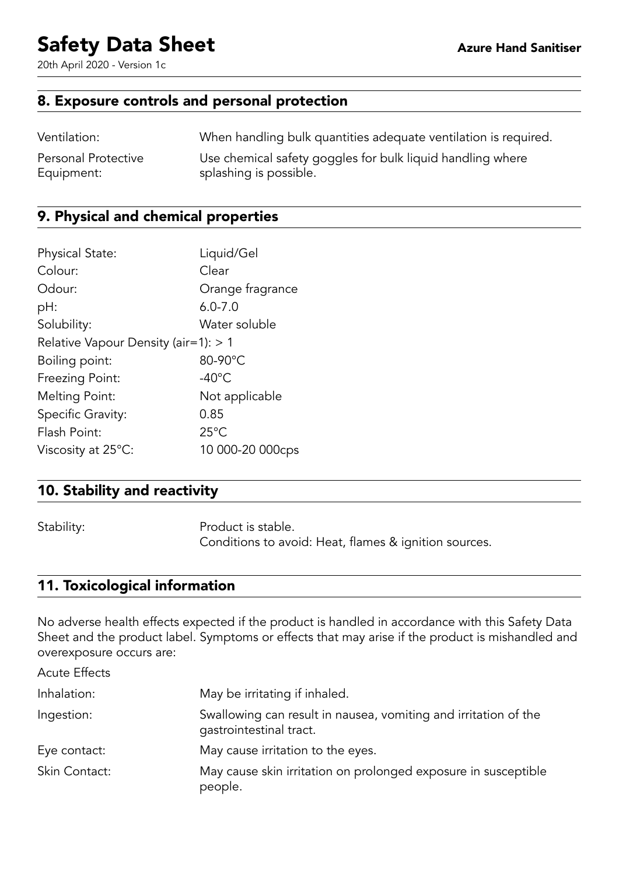20th April 2020 - Version 1c

#### 8. Exposure controls and personal protection

| Ventilation:        | When handling bulk quantities adequate ventilation is required. |
|---------------------|-----------------------------------------------------------------|
| Personal Protective | Use chemical safety goggles for bulk liquid handling where      |
| Equipment:          | splashing is possible.                                          |

### 9. Physical and chemical properties

| <b>Physical State:</b>                 | Liquid/Gel       |
|----------------------------------------|------------------|
| Colour:                                | Clear            |
| Odour:                                 | Orange fragrance |
| pH:                                    | $6.0 - 7.0$      |
| Solubility:                            | Water soluble    |
| Relative Vapour Density (air=1): $> 1$ |                  |
| Boiling point:                         | 80-90°C          |
| Freezing Point:                        | $-40^{\circ}$ C  |
| Melting Point:                         | Not applicable   |
| Specific Gravity:                      | 0.85             |
| Flash Point:                           | $25^{\circ}$ C   |
| Viscosity at $25^{\circ}$ C:           | 10 000-20 000cps |

## 10. Stability and reactivity

Stability: Product is stable. Conditions to avoid: Heat, flames & ignition sources.

### 11. Toxicological information

No adverse health effects expected if the product is handled in accordance with this Safety Data Sheet and the product label. Symptoms or effects that may arise if the product is mishandled and overexposure occurs are:

| <b>Acute Effects</b> |                                                                                            |
|----------------------|--------------------------------------------------------------------------------------------|
| Inhalation:          | May be irritating if inhaled.                                                              |
| Ingestion:           | Swallowing can result in nausea, vomiting and irritation of the<br>gastrointestinal tract. |
| Eye contact:         | May cause irritation to the eyes.                                                          |
| Skin Contact:        | May cause skin irritation on prolonged exposure in susceptible<br>people.                  |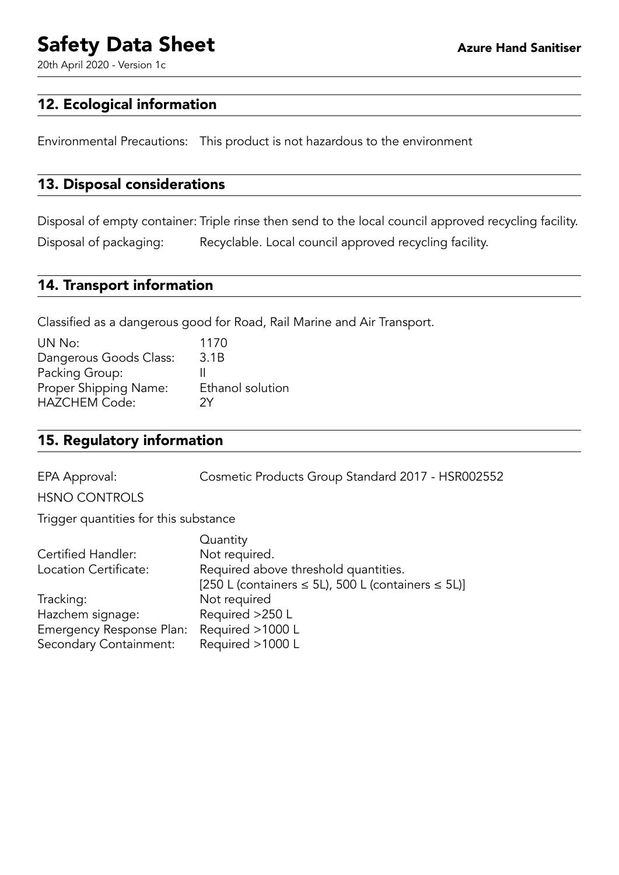20th April 2020 - Version 1c

#### 12. Ecological information

Environmental Precautions: This product is not hazardous to the environment

#### 13. Disposal considerations

Disposal of empty container: Triple rinse then send to the local council approved recycling facility. Disposal of packaging: Recyclable. Local council approved recycling facility.

#### 14. Transport information

Classified as a dangerous good for Road, Rail Marine and Air Transport.

| UN No:                 | 1170             |
|------------------------|------------------|
| Dangerous Goods Class: | 3.1B             |
| Packing Group:         |                  |
| Proper Shipping Name:  | Ethanol solution |
| <b>HAZCHEM Code:</b>   | 2Υ               |

#### 15. Regulatory information

EPA Approval: Cosmetic Products Group Standard 2017 - HSR002552

HSNO CONTROLS

Trigger quantities for this substance

|                          | Quantity                                                     |
|--------------------------|--------------------------------------------------------------|
| Certified Handler:       | Not required.                                                |
| Location Certificate:    | Required above threshold quantities.                         |
|                          | [250 L (containers $\leq$ 5L), 500 L (containers $\leq$ 5L)] |
| Tracking:                | Not required                                                 |
| Hazchem signage:         | Required >250 L                                              |
| Emergency Response Plan: | Required >1000 L                                             |
| Secondary Containment:   | Required >1000 L                                             |